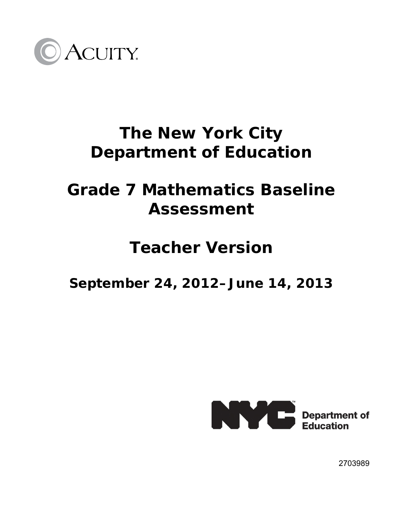

# **The New York City Department of Education**

# **Grade 7 Mathematics Baseline Assessment**

## **Teacher Version**

**September 24, 2012–June 14, 2013** 



2703989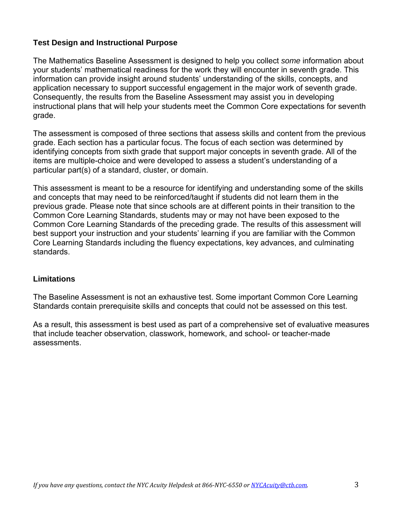#### **Test Design and Instructional Purpose**

The Mathematics Baseline Assessment is designed to help you collect *some* information about your students' mathematical readiness for the work they will encounter in seventh grade. This information can provide insight around students' understanding of the skills, concepts, and application necessary to support successful engagement in the major work of seventh grade. Consequently, the results from the Baseline Assessment may assist you in developing instructional plans that will help your students meet the Common Core expectations for seventh grade.

The assessment is composed of three sections that assess skills and content from the previous grade. Each section has a particular focus. The focus of each section was determined by identifying concepts from sixth grade that support major concepts in seventh grade. All of the items are multiple-choice and were developed to assess a student's understanding of a particular part(s) of a standard, cluster, or domain.

This assessment is meant to be a resource for identifying and understanding some of the skills and concepts that may need to be reinforced/taught if students did not learn them in the previous grade. Please note that since schools are at different points in their transition to the Common Core Learning Standards, students may or may not have been exposed to the Common Core Learning Standards of the preceding grade. The results of this assessment will best support your instruction and your students' learning if you are familiar with the Common Core Learning Standards including the fluency expectations, key advances, and culminating standards.

#### **Limitations**

The Baseline Assessment is not an exhaustive test. Some important Common Core Learning Standards contain prerequisite skills and concepts that could not be assessed on this test.

As a result, this assessment is best used as part of a comprehensive set of evaluative measures that include teacher observation, classwork, homework, and school- or teacher-made assessments.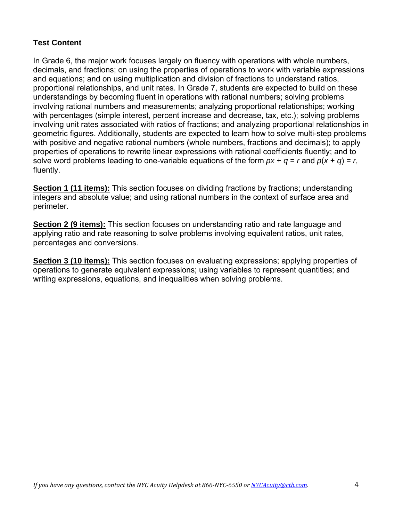### **Test Content**

In Grade 6, the major work focuses largely on fluency with operations with whole numbers, decimals, and fractions; on using the properties of operations to work with variable expressions and equations; and on using multiplication and division of fractions to understand ratios, proportional relationships, and unit rates. In Grade 7, students are expected to build on these understandings by becoming fluent in operations with rational numbers; solving problems involving rational numbers and measurements; analyzing proportional relationships; working with percentages (simple interest, percent increase and decrease, tax, etc.); solving problems involving unit rates associated with ratios of fractions; and analyzing proportional relationships in geometric figures. Additionally, students are expected to learn how to solve multi-step problems with positive and negative rational numbers (whole numbers, fractions and decimals); to apply properties of operations to rewrite linear expressions with rational coefficients fluently; and to solve word problems leading to one-variable equations of the form  $px + q = r$  and  $p(x + q) = r$ , fluently.

**Section 1 (11 items):** This section focuses on dividing fractions by fractions; understanding integers and absolute value; and using rational numbers in the context of surface area and perimeter.

**Section 2 (9 items):** This section focuses on understanding ratio and rate language and applying ratio and rate reasoning to solve problems involving equivalent ratios, unit rates, percentages and conversions.

**Section 3 (10 items):** This section focuses on evaluating expressions; applying properties of operations to generate equivalent expressions; using variables to represent quantities; and writing expressions, equations, and inequalities when solving problems.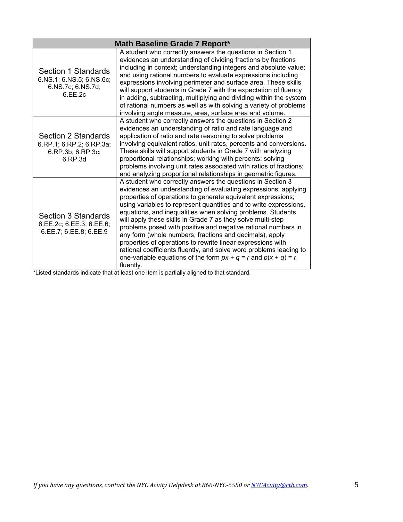| Math Baseline Grade 7 Report*                                                   |                                                                                                                                                                                                                                                                                                                                                                                                                                                                                                                                                                                                                                                                                                                                                                                                                                                |  |  |
|---------------------------------------------------------------------------------|------------------------------------------------------------------------------------------------------------------------------------------------------------------------------------------------------------------------------------------------------------------------------------------------------------------------------------------------------------------------------------------------------------------------------------------------------------------------------------------------------------------------------------------------------------------------------------------------------------------------------------------------------------------------------------------------------------------------------------------------------------------------------------------------------------------------------------------------|--|--|
| Section 1 Standards<br>6.NS.1; 6.NS.5; 6.NS.6c;<br>6.NS.7c; 6.NS.7d;<br>6.EE.2c | A student who correctly answers the questions in Section 1<br>evidences an understanding of dividing fractions by fractions<br>including in context; understanding integers and absolute value;<br>and using rational numbers to evaluate expressions including<br>expressions involving perimeter and surface area. These skills<br>will support students in Grade 7 with the expectation of fluency<br>in adding, subtracting, multiplying and dividing within the system<br>of rational numbers as well as with solving a variety of problems<br>involving angle measure, area, surface area and volume.                                                                                                                                                                                                                                    |  |  |
| Section 2 Standards<br>6.RP.1; 6.RP.2; 6.RP.3a;<br>6.RP.3b; 6.RP.3c;<br>6.RP.3d | A student who correctly answers the questions in Section 2<br>evidences an understanding of ratio and rate language and<br>application of ratio and rate reasoning to solve problems<br>involving equivalent ratios, unit rates, percents and conversions.<br>These skills will support students in Grade 7 with analyzing<br>proportional relationships; working with percents; solving<br>problems involving unit rates associated with ratios of fractions;<br>and analyzing proportional relationships in geometric figures.                                                                                                                                                                                                                                                                                                               |  |  |
| Section 3 Standards<br>6.EE.2c; 6.EE.3; 6.EE.6;<br>6.EE.7; 6.EE.8; 6.EE.9       | A student who correctly answers the questions in Section 3<br>evidences an understanding of evaluating expressions; applying<br>properties of operations to generate equivalent expressions;<br>using variables to represent quantities and to write expressions,<br>equations, and inequalities when solving problems. Students<br>will apply these skills in Grade 7 as they solve multi-step<br>problems posed with positive and negative rational numbers in<br>any form (whole numbers, fractions and decimals), apply<br>properties of operations to rewrite linear expressions with<br>rational coefficients fluently, and solve word problems leading to<br>one-variable equations of the form $px + q = r$ and $p(x + q) = r$ ,<br>fluently.<br>that atoprobate indicate that at loopt and item is partially aligned to that atopdard |  |  |

\*Listed standards indicate that at least one item is partially aligned to that standard.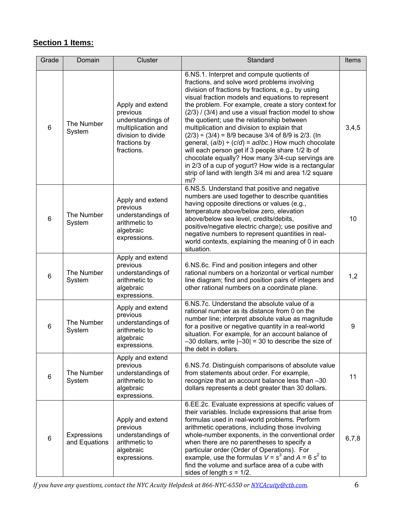## **Section 1 Items:**

| Grade          | Domain                       | Cluster                                                                                                                     | Standard                                                                                                                                                                                                                                                                                                                                                                                                                                                                                                                                                                                                                                                                                                                                                                       | Items |
|----------------|------------------------------|-----------------------------------------------------------------------------------------------------------------------------|--------------------------------------------------------------------------------------------------------------------------------------------------------------------------------------------------------------------------------------------------------------------------------------------------------------------------------------------------------------------------------------------------------------------------------------------------------------------------------------------------------------------------------------------------------------------------------------------------------------------------------------------------------------------------------------------------------------------------------------------------------------------------------|-------|
| $6\phantom{1}$ | The Number<br>System         | Apply and extend<br>previous<br>understandings of<br>multiplication and<br>division to divide<br>fractions by<br>fractions. | 6.NS.1. Interpret and compute quotients of<br>fractions, and solve word problems involving<br>division of fractions by fractions, e.g., by using<br>visual fraction models and equations to represent<br>the problem. For example, create a story context for<br>$(2/3)$ / $(3/4)$ and use a visual fraction model to show<br>the quotient; use the relationship between<br>multiplication and division to explain that<br>$(2/3) \div (3/4) = 8/9$ because 3/4 of 8/9 is 2/3. (In<br>general, $(a/b) \div (c/d) = ad/bc$ .) How much chocolate<br>will each person get if 3 people share 1/2 lb of<br>chocolate equally? How many 3/4-cup servings are<br>in 2/3 of a cup of yogurt? How wide is a rectangular<br>strip of land with length 3/4 mi and area 1/2 square<br>mi? | 3,4,5 |
| $\,6\,$        | The Number<br>System         | Apply and extend<br>previous<br>understandings of<br>arithmetic to<br>algebraic<br>expressions.                             | 6.NS.5. Understand that positive and negative<br>numbers are used together to describe quantities<br>having opposite directions or values (e.g.,<br>temperature above/below zero, elevation<br>above/below sea level, credits/debits,<br>positive/negative electric charge); use positive and<br>negative numbers to represent quantities in real-<br>world contexts, explaining the meaning of 0 in each<br>situation.                                                                                                                                                                                                                                                                                                                                                        | 10    |
| $6\phantom{1}$ | The Number<br>System         | Apply and extend<br>previous<br>understandings of<br>arithmetic to<br>algebraic<br>expressions.                             | 6.NS.6c. Find and position integers and other<br>rational numbers on a horizontal or vertical number<br>line diagram; find and position pairs of integers and<br>other rational numbers on a coordinate plane.                                                                                                                                                                                                                                                                                                                                                                                                                                                                                                                                                                 | 1,2   |
| $\,6$          | The Number<br>System         | Apply and extend<br>previous<br>understandings of<br>arithmetic to<br>algebraic<br>expressions.                             | 6.NS.7c. Understand the absolute value of a<br>rational number as its distance from 0 on the<br>number line; interpret absolute value as magnitude<br>for a positive or negative quantity in a real-world<br>situation. For example, for an account balance of<br>$-30$ dollars, write $ -30 $ = 30 to describe the size of<br>the debt in dollars.                                                                                                                                                                                                                                                                                                                                                                                                                            | 9     |
| 6              | The Number<br>System         | Apply and extend<br>previous<br>understandings of<br>arithmetic to<br>algebraic<br>expressions.                             | 6.NS.7d. Distinguish comparisons of absolute value<br>from statements about order. For example,<br>recognize that an account balance less than -30<br>dollars represents a debt greater than 30 dollars.                                                                                                                                                                                                                                                                                                                                                                                                                                                                                                                                                                       | 11    |
| $6\phantom{1}$ | Expressions<br>and Equations | Apply and extend<br>previous<br>understandings of<br>arithmetic to<br>algebraic<br>expressions.                             | 6.EE.2c. Evaluate expressions at specific values of<br>their variables. Include expressions that arise from<br>formulas used in real-world problems. Perform<br>arithmetic operations, including those involving<br>whole-number exponents, in the conventional order<br>when there are no parentheses to specify a<br>particular order (Order of Operations). For<br>example, use the formulas $V = s^3$ and $A = 6 s^2$ to<br>find the volume and surface area of a cube with<br>sides of length $s = 1/2$ .                                                                                                                                                                                                                                                                 | 6,7,8 |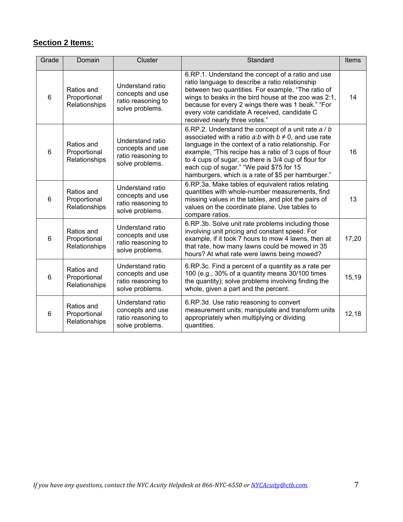### **Section 2 Items:**

| Grade          | Domain                                      | Cluster                                                                       | Standard                                                                                                                                                                                                                                                                                                                                                                                    | Items |
|----------------|---------------------------------------------|-------------------------------------------------------------------------------|---------------------------------------------------------------------------------------------------------------------------------------------------------------------------------------------------------------------------------------------------------------------------------------------------------------------------------------------------------------------------------------------|-------|
| $6\phantom{1}$ | Ratios and<br>Proportional<br>Relationships | Understand ratio<br>concepts and use<br>ratio reasoning to<br>solve problems. | 6.RP.1. Understand the concept of a ratio and use<br>ratio language to describe a ratio relationship<br>between two quantities. For example, "The ratio of<br>wings to beaks in the bird house at the zoo was 2:1,<br>because for every 2 wings there was 1 beak." "For<br>every vote candidate A received, candidate C<br>received nearly three votes."                                    | 14    |
| $6\phantom{1}$ | Ratios and<br>Proportional<br>Relationships | Understand ratio<br>concepts and use<br>ratio reasoning to<br>solve problems. | 6.RP.2. Understand the concept of a unit rate a / b<br>associated with a ratio a:b with $b \neq 0$ , and use rate<br>language in the context of a ratio relationship. For<br>example, "This recipe has a ratio of 3 cups of flour<br>to 4 cups of sugar, so there is 3/4 cup of flour for<br>each cup of sugar." "We paid \$75 for 15<br>hamburgers, which is a rate of \$5 per hamburger." | 16    |
| $6\phantom{1}$ | Ratios and<br>Proportional<br>Relationships | Understand ratio<br>concepts and use<br>ratio reasoning to<br>solve problems. | 6.RP.3a. Make tables of equivalent ratios relating<br>quantities with whole-number measurements, find<br>missing values in the tables, and plot the pairs of<br>values on the coordinate plane. Use tables to<br>compare ratios.                                                                                                                                                            | 13    |
| $6\phantom{1}$ | Ratios and<br>Proportional<br>Relationships | Understand ratio<br>concepts and use<br>ratio reasoning to<br>solve problems. | 6.RP.3b. Solve unit rate problems including those<br>involving unit pricing and constant speed. For<br>example, if it took 7 hours to mow 4 lawns, then at<br>that rate, how many lawns could be mowed in 35<br>hours? At what rate were lawns being mowed?                                                                                                                                 | 17,20 |
| $6\phantom{1}$ | Ratios and<br>Proportional<br>Relationships | Understand ratio<br>concepts and use<br>ratio reasoning to<br>solve problems. | 6.RP.3c. Find a percent of a quantity as a rate per<br>100 (e.g., 30% of a quantity means 30/100 times<br>the quantity); solve problems involving finding the<br>whole, given a part and the percent.                                                                                                                                                                                       | 15,19 |
| 6              | Ratios and<br>Proportional<br>Relationships | Understand ratio<br>concepts and use<br>ratio reasoning to<br>solve problems. | 6.RP.3d. Use ratio reasoning to convert<br>measurement units; manipulate and transform units<br>appropriately when multiplying or dividing<br>quantities.                                                                                                                                                                                                                                   | 12,18 |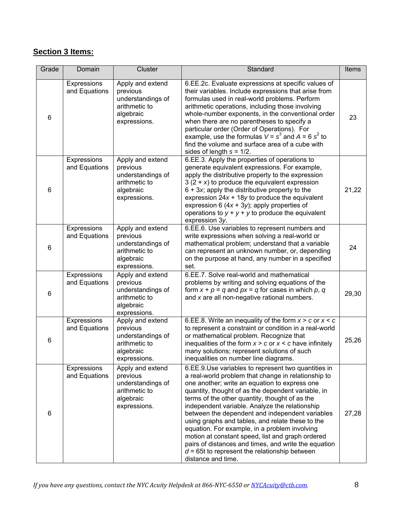### **Section 3 Items:**

| Grade | Domain                       | Cluster                                                                                         | Standard                                                                                                                                                                                                                                                                                                                                                                                                                                                                                                                                                                                                                                                           | Items |
|-------|------------------------------|-------------------------------------------------------------------------------------------------|--------------------------------------------------------------------------------------------------------------------------------------------------------------------------------------------------------------------------------------------------------------------------------------------------------------------------------------------------------------------------------------------------------------------------------------------------------------------------------------------------------------------------------------------------------------------------------------------------------------------------------------------------------------------|-------|
| $\,6$ | Expressions<br>and Equations | Apply and extend<br>previous<br>understandings of<br>arithmetic to<br>algebraic<br>expressions. | 6.EE.2c. Evaluate expressions at specific values of<br>their variables. Include expressions that arise from<br>formulas used in real-world problems. Perform<br>arithmetic operations, including those involving<br>whole-number exponents, in the conventional order<br>when there are no parentheses to specify a<br>particular order (Order of Operations). For<br>example, use the formulas $V = s^3$ and $A = 6 s^2$ to<br>find the volume and surface area of a cube with<br>sides of length $s = 1/2$ .                                                                                                                                                     | 23    |
| 6     | Expressions<br>and Equations | Apply and extend<br>previous<br>understandings of<br>arithmetic to<br>algebraic<br>expressions. | 6.EE.3. Apply the properties of operations to<br>generate equivalent expressions. For example,<br>apply the distributive property to the expression<br>$3(2 + x)$ to produce the equivalent expression<br>$6 + 3x$ ; apply the distributive property to the<br>expression $24x + 18y$ to produce the equivalent<br>expression 6 $(4x + 3y)$ ; apply properties of<br>operations to $y + y + y$ to produce the equivalent<br>expression 3y.                                                                                                                                                                                                                         | 21,22 |
| 6     | Expressions<br>and Equations | Apply and extend<br>previous<br>understandings of<br>arithmetic to<br>algebraic<br>expressions. | 6.EE.6. Use variables to represent numbers and<br>write expressions when solving a real-world or<br>mathematical problem; understand that a variable<br>can represent an unknown number, or, depending<br>on the purpose at hand, any number in a specified<br>set.                                                                                                                                                                                                                                                                                                                                                                                                | 24    |
| $\,6$ | Expressions<br>and Equations | Apply and extend<br>previous<br>understandings of<br>arithmetic to<br>algebraic<br>expressions. | 6.EE.7. Solve real-world and mathematical<br>problems by writing and solving equations of the<br>form $x + p = q$ and $px = q$ for cases in which p, q<br>and x are all non-negative rational numbers.                                                                                                                                                                                                                                                                                                                                                                                                                                                             | 29,30 |
| 6     | Expressions<br>and Equations | Apply and extend<br>previous<br>understandings of<br>arithmetic to<br>algebraic<br>expressions. | 6.EE.8. Write an inequality of the form $x > c$ or $x < c$<br>to represent a constraint or condition in a real-world<br>or mathematical problem. Recognize that<br>inequalities of the form $x > c$ or $x < c$ have infinitely<br>many solutions; represent solutions of such<br>inequalities on number line diagrams.                                                                                                                                                                                                                                                                                                                                             | 25,26 |
| 6     | Expressions<br>and Equations | Apply and extend<br>previous<br>understandings of<br>arithmetic to<br>algebraic<br>expressions. | 6.EE.9.Use variables to represent two quantities in<br>a real-world problem that change in relationship to<br>one another; write an equation to express one<br>quantity, thought of as the dependent variable, in<br>terms of the other quantity, thought of as the<br>independent variable. Analyze the relationship<br>between the dependent and independent variables<br>using graphs and tables, and relate these to the<br>equation. For example, in a problem involving<br>motion at constant speed, list and graph ordered<br>pairs of distances and times, and write the equation<br>$d = 65t$ to represent the relationship between<br>distance and time. | 27,28 |